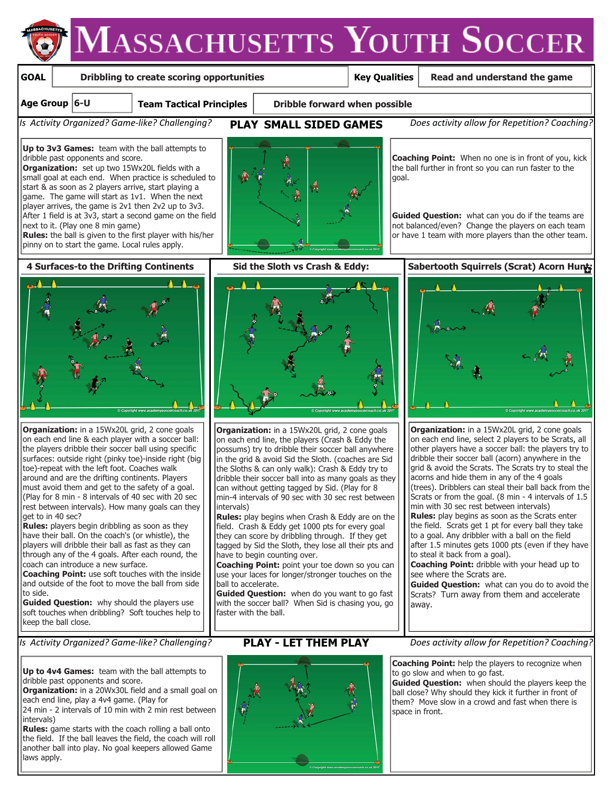

24 min - 2 intervals of 10 min with 2 min rest between intervals)

**Rules:** game starts with the coach rolling a ball onto the field. If the ball leaves the field, the coach will roll another ball into play. No goal keepers allowed Game laws apply.

space in front.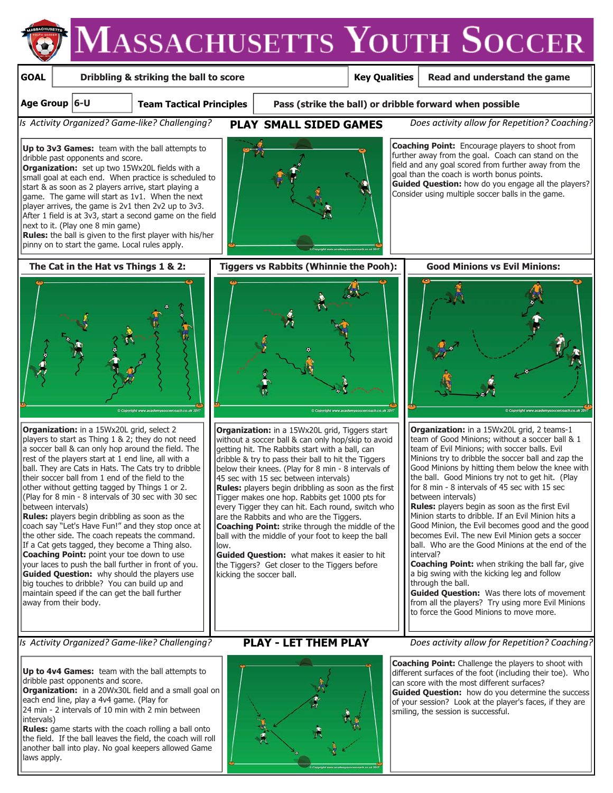

**Up to 4v4 Games:** team with the ball attempts to dribble past opponents and score.

**Organization:** in a 20Wx30L field and a small goal on each end line, play a 4v4 game. (Play for

24 min - 2 intervals of 10 min with 2 min between intervals)

**Rules:** game starts with the coach rolling a ball onto the field. If the ball leaves the field, the coach will roll another ball into play. No goal keepers allowed Game laws apply.



### *Is Activity Organized? Game-like? Challenging?* **PLAY - LET THEM PLAY** Does activity allow for Repetition? Coaching?

**Coaching Point:** Challenge the players to shoot with different surfaces of the foot (including their toe). Who can score with the most different surfaces? **Guided Question:** how do you determine the success of your session? Look at the player's faces, if they are smiling, the session is successful.

to force the Good Minions to move more.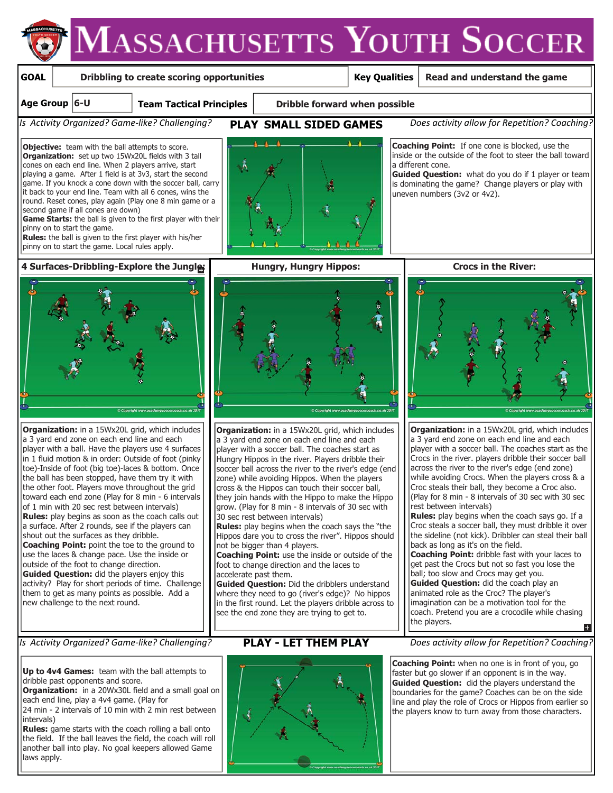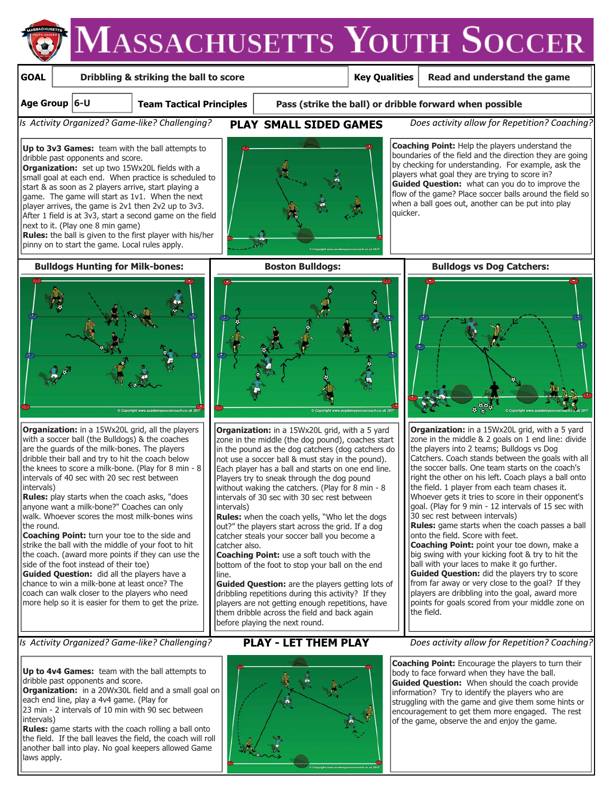

**Up to 4v4 Games:** team with the ball attempts to dribble past opponents and score.

**Organization:** in a 20Wx30L field and a small goal on each end line, play a 4v4 game. (Play for 23 min - 2 intervals of 10 min with 90 sec between

intervals) **Rules:** game starts with the coach rolling a ball onto

the field. If the ball leaves the field, the coach will roll another ball into play. No goal keepers allowed Game laws apply.



**Coaching Point:** Encourage the players to turn their body to face forward when they have the ball. **Guided Question:** When should the coach provide information? Try to identify the players who are struggling with the game and give them some hints or encouragement to get them more engaged. The rest of the game, observe the and enjoy the game.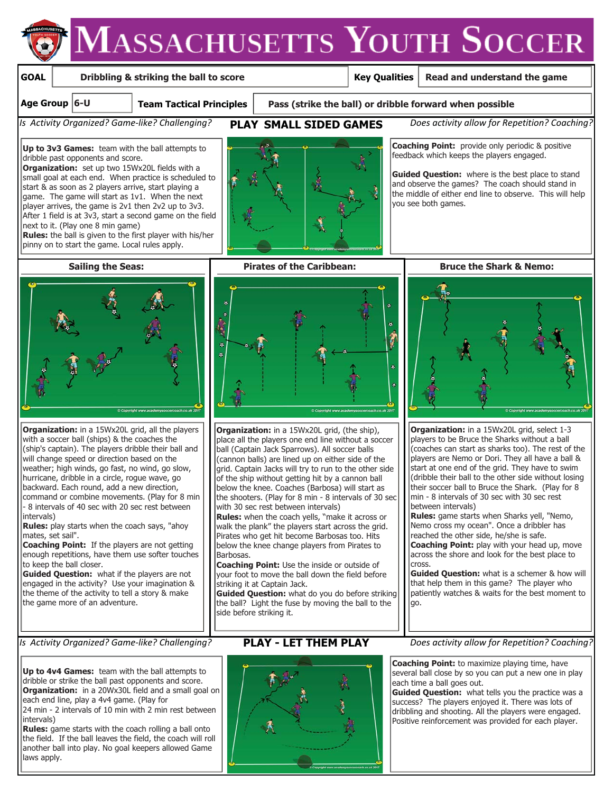### **GOAL Dribbling & striking the ball to score Key Qualities Read and understand the game Team Tactical Principles Pass (strike the ball) or dribble forward when possible Age Group 6-U** *Is Activity Organized? Game-like? Challenging?* **PLAY SMALL SIDED GAMES** *Does activity allow for Repetition? Coaching?* **Coaching Point:** provide only periodic & positive **Up to 3v3 Games:** team with the ball attempts to feedback which keeps the players engaged. dribble past opponents and score. **Organization:** set up two 15Wx20L fields with a small goal at each end. When practice is scheduled to start & as soon as 2 players arrive, start playing a game. The game will start as 1v1. When the next you see both games. player arrives, the game is 2v1 then 2v2 up to 3v3. After 1 field is at 3v3, start a second game on the field next to it. (Play one 8 min game) **Rules:** the ball is given to the first player with his/her pinny on to start the game. Local rules apply.  **Sailing the Seas: Pirates of the Caribbean: Bruce the Shark & Nemo:**ė **Organization:** in a 15Wx20L grid, all the players **Organization:** in a 15Wx20L grid, (the ship), with a soccer ball (ships) & the coaches the place all the players one end line without a soccer players to be Bruce the Sharks without a ball (ship's captain). The players dribble their ball and ball (Captain Jack Sparrows). All soccer balls will change speed or direction based on the (cannon balls) are lined up on either side of the weather; high winds, go fast, no wind, go slow, grid. Captain Jacks will try to run to the other side hurricane, dribble in a circle, rogue wave, go of the ship without getting hit by a cannon ball backward. Each round, add a new direction, below the knee. Coaches (Barbosa) will start as command or combine movements. (Play for 8 min min - 8 intervals of 30 sec with 30 sec rest the shooters. (Play for 8 min - 8 intervals of 30 sec - 8 intervals of 40 sec with 20 sec rest between with 30 sec rest between intervals) between intervals) intervals) **Rules:** when the coach yells, "make it across or **Rules:** play starts when the coach says, "ahoy walk the plank" the players start across the grid. Nemo cross my ocean". Once a dribbler has mates, set sail". reached the other side, he/she is safe. Pirates who get hit become Barbosas too. Hits **Coaching Point:** If the players are not getting below the knee change players from Pirates to Barbosas.

enough repetitions, have them use softer touches to keep the ball closer.

**Guided Question:** what if the players are not engaged in the activity? Use your imagination & the theme of the activity to tell a story & make the game more of an adventure.

**Coaching Point:** Use the inside or outside of your foot to move the ball down the field before striking it at Captain Jack.

**Guided Question:** what do you do before striking the ball? Light the fuse by moving the ball to the side before striking it.



**Coaching Point:** to maximize playing time, have several ball close by so you can put a new one in play each time a ball goes out.

**Guided Question:** what tells you the practice was a success? The players enjoyed it. There was lots of dribbling and shooting. All the players were engaged. Positive reinforcement was provided for each player.

*Is Activity Organized? Game-like? Challenging?* **PLAY - LET THEM PLAY** Does activity allow for Repetition? Coaching?

**Up to 4v4 Games:** team with the ball attempts to dribble or strike the ball past opponents and score. **Organization:** in a 20Wx30L field and a small goal on each end line, play a 4v4 game. (Play for

24 min - 2 intervals of 10 min with 2 min rest between intervals)

**Rules:** game starts with the coach rolling a ball onto the field. If the ball leaves the field, the coach will roll another ball into play. No goal keepers allowed Game laws apply.





**Organization:** in a 15Wx20L grid, select 1-3 (coaches can start as sharks too). The rest of the players are Nemo or Dori. They all have a ball & start at one end of the grid. They have to swim (dribble their ball to the other side without losing their soccer ball to Bruce the Shark. (Play for 8

**Rules:** game starts when Sharks yell, "Nemo, **Coaching Point:** play with your head up, move across the shore and look for the best place to cross.

**Guided Question:** what is a schemer & how will that help them in this game? The player who patiently watches & waits for the best moment to go.

**Guided Question:** where is the best place to stand and observe the games? The coach should stand in the middle of either end line to observe. This will help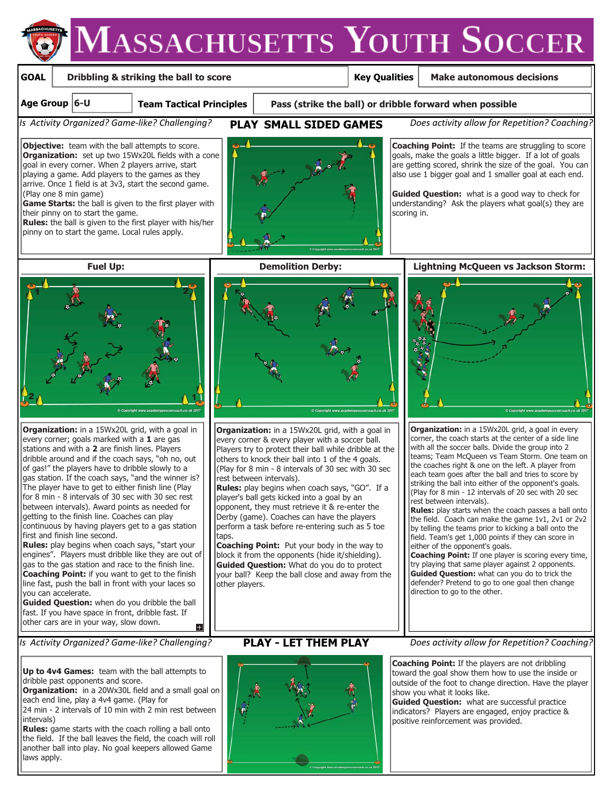### **GOAL Team Tactical Principles Key Qualities Age Group 6-U** *Is Activity Organized? Game-like? Challenging?* **PLAY SMALL SIDED GAMES** *Does activity allow for Repetition? Coaching?*  **Dribbling & striking the ball to score Pass (strike the ball) or dribble forward when possible Make autonomous decisions Coaching Point:** If the teams are struggling to score goals, make the goals a little bigger. If a lot of goals are getting scored, shrink the size of the goal. You can also use 1 bigger goal and 1 smaller goal at each end. **Guided Question:** what is a good way to check for understanding? Ask the players what goal(s) they are scoring in. **Objective:** team with the ball attempts to score. **Organization:** set up two 15Wx20L fields with a cone goal in every corner. When 2 players arrive, start playing a game. Add players to the games as they arrive. Once 1 field is at 3v3, start the second game. (Play one 8 min game) **Game Starts:** the ball is given to the first player with their pinny on to start the game. **Rules:** the ball is given to the first player with his/her pinny on to start the game. Local rules apply.  **Fuel Up: Demolition Derby: Lightning McQueen vs Jackson Storm:**

**Organization:** in a 15Wx20L grid, with a goal in

every corner; goals marked with a **1** are gas stations and with a **2** are finish lines. Players dribble around and if the coach says, "oh no, out of gas!" the players have to dribble slowly to a gas station. If the coach says, "and the winner is? The player have to get to either finish line (Play for 8 min - 8 intervals of 30 sec with 30 sec rest between intervals). Award points as needed for getting to the finish line. Coaches can play continuous by having players get to a gas station first and finish line second.

**Rules:** play begins when coach says, "start your engines". Players must dribble like they are out of gas to the gas station and race to the finish line. **Coaching Point:** if you want to get to the finish line fast, push the ball in front with your laces so you can accelerate.

**Guided Question:** when do you dribble the ball fast. If you have space in front, dribble fast. If other cars are in your way, slow down.

**Up to 4v4 Games:** team with the ball attempts to dribble past opponents and score.

**Organization:** in a 20Wx30L field and a small goal on each end line, play a 4v4 game. (Play for

24 min - 2 intervals of 10 min with 2 min rest between intervals)

**Rules:** game starts with the coach rolling a ball onto the field. If the ball leaves the field, the coach will roll another ball into play. No goal keepers allowed Game laws apply.



**Organization:** in a 15Wx20L grid, with a goal in every corner & every player with a soccer ball. Players try to protect their ball while dribble at the others to knock their ball into 1 of the 4 goals. (Play for 8 min - 8 intervals of 30 sec with 30 sec rest between intervals).

**Rules:** play begins when coach says, "GO". If a player's ball gets kicked into a goal by an opponent, they must retrieve it & re-enter the Derby (game). Coaches can have the players perform a task before re-entering such as 5 toe taps.

**Coaching Point:** Put your body in the way to block it from the opponents (hide it/shielding). **Guided Question:** What do you do to protect your ball? Keep the ball close and away from the other players.



**Organization:** in a 15Wx20L grid, a goal in every corner, the coach starts at the center of a side line with all the soccer balls. Divide the group into 2 teams; Team McQueen vs Team Storm. One team on the coaches right & one on the left. A player from each team goes after the ball and tries to score by striking the ball into either of the opponent's goals. (Play for 8 min - 12 intervals of 20 sec with 20 sec rest between intervals).

**Rules:** play starts when the coach passes a ball onto the field. Coach can make the game 1v1, 2v1 or 2v2 by telling the teams prior to kicking a ball onto the field. Team's get 1,000 points if they can score in either of the opponent's goals.

**Coaching Point:** If one player is scoring every time, try playing that same player against 2 opponents. **Guided Question:** what can you do to trick the defender? Pretend to go to one goal then change direction to go to the other.



*Is Activity Organized? Game-like? Challenging?* **PLAY - LET THEM PLAY** Does activity allow for Repetition? Coaching?

**Coaching Point:** If the players are not dribbling toward the goal show them how to use the inside or outside of the foot to change direction. Have the player show you what it looks like.

**Guided Question:** what are successful practice indicators? Players are engaged, enjoy practice & positive reinforcement was provided.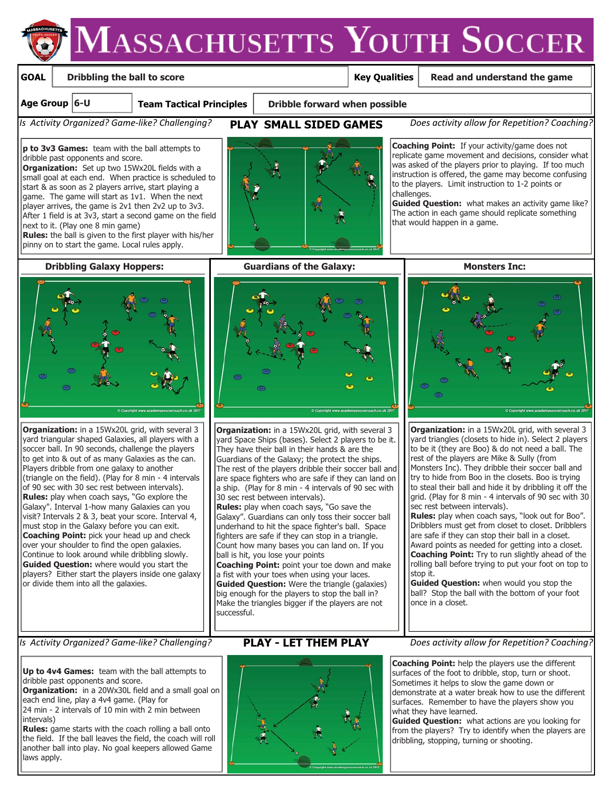### **GOAL**

### **Dribbling the ball to score**

### **Key Qualities**

challenges.

that would happen in a game.

### **Read and understand the game**

**Age Group 6-U**

**Team Tactical Principles**

 **Dribble forward when possible**

*Is Activity Organized? Game-like? Challenging?* **PLAY SMALL SIDED GAMES** *Does activity allow for Repetition? Coaching?*

**Coaching Point:** If your activity/game does not replicate game movement and decisions, consider what was asked of the players prior to playing. If too much instruction is offered, the game may become confusing to the players. Limit instruction to 1-2 points or

**p to 3v3 Games:** team with the ball attempts to dribble past opponents and score.

**Organization:** Set up two 15Wx20L fields with a small goal at each end. When practice is scheduled to start & as soon as 2 players arrive, start playing a game. The game will start as 1v1. When the next player arrives, the game is 2v1 then 2v2 up to 3v3. After 1 field is at 3v3, start a second game on the field next to it. (Play one 8 min game) **Rules:** the ball is given to the first player with his/her

pinny on to start the game. Local rules apply.



**Organization:** in a 15Wx20L grid, with several 3 yard triangular shaped Galaxies, all players with a soccer ball. In 90 seconds, challenge the players to get into & out of as many Galaxies as the can. Players dribble from one galaxy to another (triangle on the field). (Play for 8 min - 4 intervals of 90 sec with 30 sec rest between intervals). **Rules:** play when coach says, "Go explore the Galaxy". Interval 1-how many Galaxies can you visit? Intervals 2 & 3, beat your score. Interval 4, must stop in the Galaxy before you can exit. **Coaching Point:** pick your head up and check over your shoulder to find the open galaxies. Continue to look around while dribbling slowly. **Guided Question:** where would you start the players? Either start the players inside one galaxy or divide them into all the galaxies.



**Dribbling Galaxy Hoppers: The Guardians of the Galaxy: The Guardians of the Galaxy:** Monsters Inc:



**Organization:** in a 15Wx20L grid, with several 3 yard Space Ships (bases). Select 2 players to be it. They have their ball in their hands & are the Guardians of the Galaxy; the protect the ships. The rest of the players dribble their soccer ball and are space fighters who are safe if they can land on a ship. (Play for 8 min - 4 intervals of 90 sec with 30 sec rest between intervals).

**Rules:** play when coach says, "Go save the Galaxy". Guardians can only toss their soccer ball underhand to hit the space fighter's ball. Space fighters are safe if they can stop in a triangle. Count how many bases you can land on. If you ball is hit, you lose your points

**Coaching Point:** point your toe down and make a fist with your toes when using your laces. **Guided Question:** Were the triangle (galaxies) big enough for the players to stop the ball in? Make the triangles bigger if the players are not successful.



**Guided Question:** what makes an activity game like? The action in each game should replicate something



**Organization:** in a 15Wx20L grid, with several 3 yard triangles (closets to hide in). Select 2 players to be it (they are Boo) & do not need a ball. The rest of the players are Mike & Sully (from Monsters Inc). They dribble their soccer ball and try to hide from Boo in the closets. Boo is trying to steal their ball and hide it by dribbling it off the grid. (Play for 8 min - 4 intervals of 90 sec with 30 sec rest between intervals).

**Rules:** play when coach says, "look out for Boo". Dribblers must get from closet to closet. Dribblers are safe if they can stop their ball in a closet. Award points as needed for getting into a closet. **Coaching Point:** Try to run slightly ahead of the rolling ball before trying to put your foot on top to stop it.

**Guided Question:** when would you stop the ball? Stop the ball with the bottom of your foot once in a closet.

**Up to 4v4 Games:** team with the ball attempts to dribble past opponents and score.

**Organization:** in a 20Wx30L field and a small goal on each end line, play a 4v4 game. (Play for

24 min - 2 intervals of 10 min with 2 min between intervals)

**Rules:** game starts with the coach rolling a ball onto the field. If the ball leaves the field, the coach will roll another ball into play. No goal keepers allowed Game laws apply.



*Is Activity Organized? Game-like? Challenging?* PLAY - LET THEM PLAY - Does activity allow for Repetition? Coaching?

**Coaching Point:** help the players use the different surfaces of the foot to dribble, stop, turn or shoot. Sometimes it helps to slow the game down or demonstrate at a water break how to use the different surfaces. Remember to have the players show you what they have learned.

**Guided Question:** what actions are you looking for from the players? Try to identify when the players are dribbling, stopping, turning or shooting.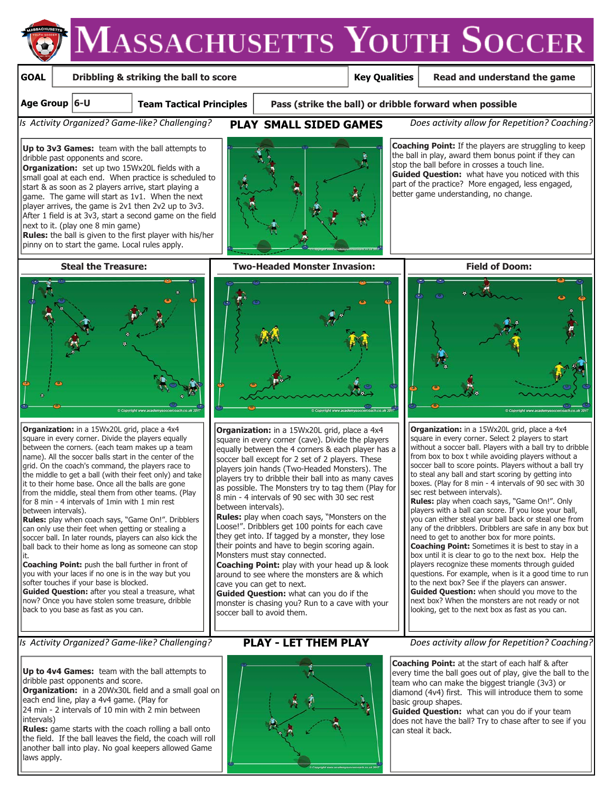## **Key Qualities Dribbling & striking the ball to score Read and understand the game**

### **Age Group 6-U**

**GOAL**

**Team Tactical Principles**

 **Pass (strike the ball) or dribble forward when possible**

*Is Activity Organized? Game-like? Challenging?* **PLAY SMALL SIDED GAMES** *Does activity allow for Repetition? Coaching?*

**Coaching Point:** If the players are struggling to keep the ball in play, award them bonus point if they can stop the ball before in crosses a touch line.

**Guided Question:** what have you noticed with this part of the practice? More engaged, less engaged,

better game understanding, no change.

**Up to 3v3 Games:** team with the ball attempts to dribble past opponents and score.

**Organization:** set up two 15Wx20L fields with a small goal at each end. When practice is scheduled to start & as soon as 2 players arrive, start playing a game. The game will start as 1v1. When the next player arrives, the game is 2v1 then 2v2 up to 3v3. After 1 field is at 3v3, start a second game on the field next to it. (play one 8 min game) **Rules:** the ball is given to the first player with his/her

pinny on to start the game. Local rules apply.



**Organization:** in a 15Wx20L grid, place a 4x4 square in every corner. Divide the players equally between the corners. (each team makes up a team name). All the soccer balls start in the center of the grid. On the coach's command, the players race to the middle to get a ball (with their feet only) and take It to their home base. Once all the balls are gone from the middle, steal them from other teams. (Play for 8 min - 4 intervals of 1min with 1 min rest between intervals).

**Rules:** play when coach says, "Game On!". Dribblers can only use their feet when getting or stealing a soccer ball. In later rounds, players can also kick the ball back to their home as long as someone can stop it.

**Coaching Point:** push the ball further in front of you with your laces if no one is in the way but you softer touches if your base is blocked.

**Guided Question:** after you steal a treasure, what now? Once you have stolen some treasure, dribble back to you base as fast as you can.



 **Steal the Treasure: Two-Headed Monster Invasion: Field of Doom:**



**Organization:** in a 15Wx20L grid, place a 4x4 square in every corner (cave). Divide the players equally between the 4 corners & each player has a soccer ball except for 2 set of 2 players. These players join hands (Two-Headed Monsters). The players try to dribble their ball into as many caves as possible. The Monsters try to tag them (Play for 8 min - 4 intervals of 90 sec with 30 sec rest between intervals).

**Rules:** play when coach says, "Monsters on the Loose!". Dribblers get 100 points for each cave they get into. If tagged by a monster, they lose their points and have to begin scoring again. Monsters must stay connected.

**Coaching Point:** play with your head up & look around to see where the monsters are & which cave you can get to next.

**Guided Question:** what can you do if the monster is chasing you? Run to a cave with your soccer ball to avoid them.

**Up to 4v4 Games:** team with the ball attempts to dribble past opponents and score.

**Organization:** in a 20Wx30L field and a small goal on each end line, play a 4v4 game. (Play for

24 min - 2 intervals of 10 min with 2 min between intervals)

**Rules:** game starts with the coach rolling a ball onto the field. If the ball leaves the field, the coach will roll another ball into play. No goal keepers allowed Game laws apply.



*Is Activity Organized? Game-like? Challenging?* PLAY - LET THEM PLAY - Does activity allow for Repetition? Coaching?

**Coaching Point:** at the start of each half & after every time the ball goes out of play, give the ball to the team who can make the biggest triangle (3v3) or diamond (4v4) first. This will introduce them to some basic group shapes.

**Guided Question:** what can you do if your team does not have the ball? Try to chase after to see if you can steal it back.



**Organization:** in a 15Wx20L grid, place a 4x4 square in every corner. Select 2 players to start without a soccer ball. Players with a ball try to dribble from box to box t while avoiding players without a soccer ball to score points. Players without a ball try to steal any ball and start scoring by getting into boxes. (Play for 8 min - 4 intervals of 90 sec with 30 sec rest between intervals).

**Rules:** play when coach says, "Game On!". Only players with a ball can score. If you lose your ball, you can either steal your ball back or steal one from any of the dribblers. Dribblers are safe in any box but need to get to another box for more points. **Coaching Point:** Sometimes it is best to stay in a box until it is clear to go to the next box. Help the players recognize these moments through guided questions. For example, when is it a good time to run to the next box? See if the players can answer. **Guided Question:** when should you move to the next box? When the monsters are not ready or not looking, get to the next box as fast as you can.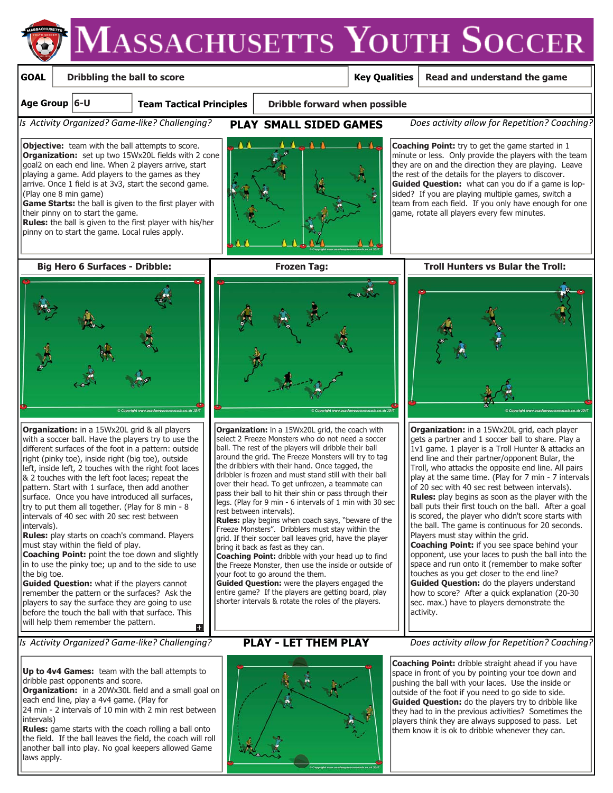## **GOAL**

## **Dribbling the ball to score**

## **Key Qualities**

 **Read and understand the game**

**Age Group 6-U**

**Team Tactical Principles**

 **Dribble forward when possible**

*Is Activity Organized? Game-like? Challenging?* **PLAY SMALL SIDED GAMES** *Does activity allow for Repetition? Coaching?*

**Objective:** team with the ball attempts to score. **Organization:** set up two 15Wx20L fields with 2 cone goal2 on each end line. When 2 players arrive, start playing a game. Add players to the games as they arrive. Once 1 field is at 3v3, start the second game. (Play one 8 min game)

**Game Starts:** the ball is given to the first player with their pinny on to start the game.

**Rules:** the ball is given to the first player with his/her pinny on to start the game. Local rules apply.



**Coaching Point:** try to get the game started in 1 minute or less. Only provide the players with the team they are on and the direction they are playing. Leave the rest of the details for the players to discover. **Guided Question:** what can you do if a game is lopsided? If you are playing multiple games, switch a team from each field. If you only have enough for one game, rotate all players every few minutes.



**Organization:** in a 15Wx20L grid & all players with a soccer ball. Have the players try to use the different surfaces of the foot in a pattern: outside right (pinky toe), inside right (big toe), outside left, inside left, 2 touches with the right foot laces & 2 touches with the left foot laces; repeat the pattern. Start with 1 surface, then add another surface. Once you have introduced all surfaces, try to put them all together. (Play for 8 min - 8 intervals of 40 sec with 20 sec rest between intervals).

**Rules:** play starts on coach's command. Players must stay within the field of play.

**Coaching Point:** point the toe down and slightly in to use the pinky toe; up and to the side to use the big toe.

**Guided Question:** what if the players cannot remember the pattern or the surfaces? Ask the players to say the surface they are going to use before the touch the ball with that surface. This will help them remember the pattern.

*Is Activity Organized? Game-like? Challenging?* **PLAY - LET THEM PLAY** Does activity allow for Repetition? Coaching?

**Up to 4v4 Games:** team with the ball attempts to dribble past opponents and score.

**Organization:** in a 20Wx30L field and a small goal on each end line, play a 4v4 game. (Play for

24 min - 2 intervals of 10 min with 2 min rest between intervals)

**Rules:** game starts with the coach rolling a ball onto the field. If the ball leaves the field, the coach will roll another ball into play. No goal keepers allowed Game laws apply.



**Organization:** in a 15Wx20L grid, the coach with select 2 Freeze Monsters who do not need a soccer ball. The rest of the players will dribble their ball around the grid. The Freeze Monsters will try to tag the dribblers with their hand. Once tagged, the dribbler is frozen and must stand still with their ball over their head. To get unfrozen, a teammate can pass their ball to hit their shin or pass through their legs. (Play for 9 min - 6 intervals of 1 min with 30 sec rest between intervals).

**Rules:** play begins when coach says, "beware of the Freeze Monsters". Dribblers must stay within the grid. If their soccer ball leaves grid, have the player bring it back as fast as they can.

**Coaching Point:** dribble with your head up to find the Freeze Monster, then use the inside or outside of your foot to go around the them.

**Guided Question:** were the players engaged the entire game? If the players are getting board, play shorter intervals & rotate the roles of the players.





**Organization:** in a 15Wx20L grid, each player gets a partner and 1 soccer ball to share. Play a 1v1 game. 1 player is a Troll Hunter & attacks an end line and their partner/opponent Bular, the Troll, who attacks the opposite end line. All pairs play at the same time. (Play for 7 min - 7 intervals of 20 sec with 40 sec rest between intervals). **Rules:** play begins as soon as the player with the ball puts their first touch on the ball. After a goal is scored, the player who didn't score starts with the ball. The game is continuous for 20 seconds. Players must stay within the grid. **Coaching Point:** if you see space behind your opponent, use your laces to push the ball into the space and run onto it (remember to make softer touches as you get closer to the end line? **Guided Question:** do the players understand how to score? After a quick explanation (20-30 sec. max.) have to players demonstrate the activity.



**Coaching Point:** dribble straight ahead if you have space in front of you by pointing your toe down and pushing the ball with your laces.Use the inside or outside of the foot if you need to go side to side. **Guided Question:** do the players try to dribble like they had to in the previous activities? Sometimes the players think they are always supposed to pass. Let them know it is ok to dribble whenever they can.